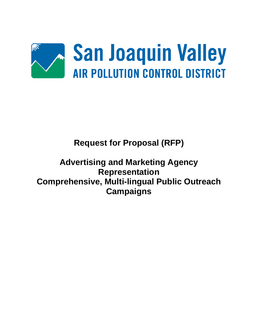

# **Request for Proposal (RFP)**

# **Advertising and Marketing Agency Representation Comprehensive, Multi-lingual Public Outreach Campaigns**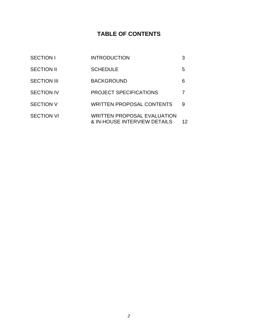# **TABLE OF CONTENTS**

| <b>SECTION I</b>   | <b>INTRODUCTION</b>                                                | 3  |
|--------------------|--------------------------------------------------------------------|----|
| <b>SECTION II</b>  | <b>SCHEDULE</b>                                                    | 5  |
| <b>SECTION III</b> | <b>BACKGROUND</b>                                                  | 6  |
| <b>SECTION IV</b>  | <b>PROJECT SPECIFICATIONS</b>                                      |    |
| <b>SECTION V</b>   | <b>WRITTEN PROPOSAL CONTENTS</b>                                   | 9  |
| <b>SECTION VI</b>  | <b>WRITTEN PROPOSAL EVALUATION</b><br>& IN-HOUSE INTERVIEW DETAILS | 12 |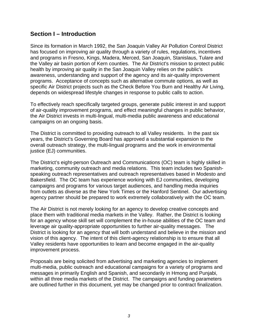#### **Section I – Introduction**

Since its formation in March 1992, the San Joaquin Valley Air Pollution Control District has focused on improving air quality through a variety of rules, regulations, incentives and programs in Fresno, Kings, Madera, Merced, San Joaquin, Stanislaus, Tulare and the Valley air basin portion of Kern counties. The Air District's mission to protect public health by improving air quality in the San Joaquin Valley relies on the public's awareness, understanding and support of the agency and its air-quality improvement programs. Acceptance of concepts such as alternative commute options, as well as specific Air District projects such as the Check Before You Burn and Healthy Air Living, depends on widespread lifestyle changes in response to public calls to action.

To effectively reach specifically targeted groups, generate public interest in and support of air-quality improvement programs, and effect meaningful changes in public behavior, the Air District invests in multi-lingual, multi-media public awareness and educational campaigns on an ongoing basis.

The District is committed to providing outreach to all Valley residents. In the past six years, the District's Governing Board has approved a substantial expansion to the overall outreach strategy, the multi-lingual programs and the work in environmental justice (EJ) communities.

The District's eight-person Outreach and Communications (OC) team is highly skilled in marketing, community outreach and media relations. This team includes two Spanishspeaking outreach representatives and outreach representatives based in Modesto and Bakersfield. The OC team has experience working with EJ communities, developing campaigns and programs for various target audiences, and handling media inquiries from outlets as diverse as the New York Times or the Hanford Sentinel. Our advertising agency partner should be prepared to work extremely collaboratively with the OC team.

The Air District is not merely looking for an agency to develop creative concepts and place them with traditional media markets in the Valley. Rather, the District is looking for an agency whose skill set will complement the in-house abilities of the OC team and leverage air quality-appropriate opportunities to further air-quality messages. The District is looking for an agency that will both understand and believe in the mission and vision of this agency. The intent of this client-agency relationship is to ensure that all Valley residents have opportunities to learn and become engaged in the air-quality improvement process.

Proposals are being solicited from advertising and marketing agencies to implement multi-media, public outreach and educational campaigns for a variety of programs and messages in primarily English and Spanish, and secondarily in Hmong and Punjabi, within all three media markets of the District. The campaigns and funding parameters are outlined further in this document, yet may be changed prior to contract finalization.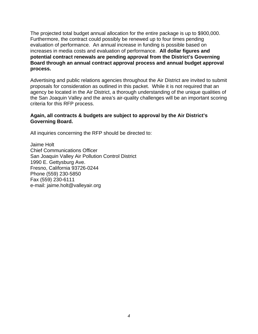The projected total budget annual allocation for the entire package is up to \$900,000. Furthermore, the contract could possibly be renewed up to four times pending evaluation of performance. An annual increase in funding is possible based on increases in media costs and evaluation of performance. **All dollar figures and potential contract renewals are pending approval from the District's Governing Board through an annual contract approval process and annual budget approval process.**

Advertising and public relations agencies throughout the Air District are invited to submit proposals for consideration as outlined in this packet. While it is not required that an agency be located in the Air District, a thorough understanding of the unique qualities of the San Joaquin Valley and the area's air-quality challenges will be an important scoring criteria for this RFP process.

#### **Again, all contracts & budgets are subject to approval by the Air District's Governing Board.**

All inquiries concerning the RFP should be directed to:

Jaime Holt Chief Communications Officer San Joaquin Valley Air Pollution Control District 1990 E. Gettysburg Ave. Fresno, California 93726-0244 Phone (559) 230-5850 Fax (559) 230-6111 e-mail: jaime.holt@valleyair.org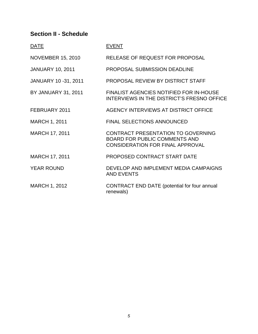# **Section II - Schedule**

| <b>DATE</b>                 | <b>EVENT</b>                                                                                                          |
|-----------------------------|-----------------------------------------------------------------------------------------------------------------------|
| <b>NOVEMBER 15, 2010</b>    | <b>RELEASE OF REQUEST FOR PROPOSAL</b>                                                                                |
| <b>JANUARY 10, 2011</b>     | <b>PROPOSAL SUBMISSION DEADLINE</b>                                                                                   |
| <b>JANUARY 10 -31, 2011</b> | PROPOSAL REVIEW BY DISTRICT STAFF                                                                                     |
| BY JANUARY 31, 2011         | <b>FINALIST AGENCIES NOTIFIED FOR IN-HOUSE</b><br><b>INTERVIEWS IN THE DISTRICT'S FRESNO OFFICE</b>                   |
| FEBRUARY 2011               | AGENCY INTERVIEWS AT DISTRICT OFFICE                                                                                  |
| <b>MARCH 1, 2011</b>        | <b>FINAL SELECTIONS ANNOUNCED</b>                                                                                     |
| <b>MARCH 17, 2011</b>       | CONTRACT PRESENTATION TO GOVERNING<br><b>BOARD FOR PUBLIC COMMENTS AND</b><br><b>CONSIDERATION FOR FINAL APPROVAL</b> |
| MARCH 17, 2011              | PROPOSED CONTRACT START DATE                                                                                          |
| <b>YEAR ROUND</b>           | DEVELOP AND IMPLEMENT MEDIA CAMPAIGNS<br><b>AND EVENTS</b>                                                            |
| <b>MARCH 1, 2012</b>        | CONTRACT END DATE (potential for four annual<br>renewals)                                                             |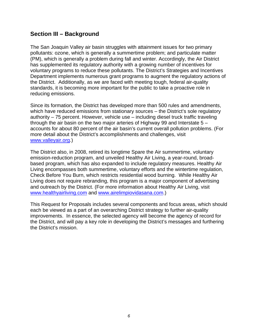### **Section III – Background**

The San Joaquin Valley air basin struggles with attainment issues for two primary pollutants: ozone, which is generally a summertime problem; and particulate matter (PM), which is generally a problem during fall and winter. Accordingly, the Air District has supplemented its regulatory authority with a growing number of incentives for voluntary programs to reduce these pollutants. The District's Strategies and Incentives Department implements numerous grant programs to augment the regulatory actions of the District. Additionally, as we are faced with meeting tough, federal air-quality standards, it is becoming more important for the public to take a proactive role in reducing emissions.

Since its formation, the District has developed more than 500 rules and amendments, which have reduced emissions from stationary sources – the District's sole regulatory authority – 75 percent. However, vehicle use – including diesel truck traffic traveling through the air basin on the two major arteries of Highway 99 and Interstate 5 – accounts for about 80 percent of the air basin's current overall pollution problems. (For more detail about the District's accomplishments and challenges, visit www.valleyair.org.)

The District also, in 2008, retired its longtime Spare the Air summertime, voluntary emission-reduction program, and unveiled Healthy Air Living, a year-round, broadbased program, which has also expanded to include regulatory measures. Healthy Air Living encompasses both summertime, voluntary efforts and the wintertime regulation, Check Before You Burn, which restricts residential wood burning. While Healthy Air Living does not require rebranding, this program is a major component of advertising and outreach by the District. (For more information about Healthy Air Living, visit www.healthyairliving.com and www.airelimpiovidasana.com.)

This Request for Proposals includes several components and focus areas, which should each be viewed as a part of an overarching District strategy to further air-quality improvements. In essence, the selected agency will become the agency of record for the District, and will pay a key role in developing the District's messages and furthering the District's mission.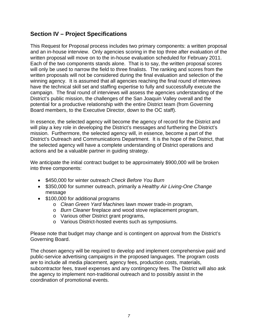# **Section IV – Project Specifications**

This Request for Proposal process includes two primary components: a written proposal and an in-house interview. Only agencies scoring in the top three after evaluation of the written proposal will move on to the in-house evaluation scheduled for February 2011. Each of the two components stands alone. That is to say, the written proposal scores will only be used to narrow the field to three finalists. The ranking and scores from the written proposals will not be considered during the final evaluation and selection of the winning agency. It is assumed that all agencies reaching the final round of interviews have the technical skill set and staffing expertise to fully and successfully execute the campaign. The final round of interviews will assess the agencies understanding of the District's public mission, the challenges of the San Joaquin Valley overall and the potential for a productive relationship with the entire District team (from Governing Board members, to the Executive Director, down to the OC staff).

In essence, the selected agency will become the agency of record for the District and will play a key role in developing the District's messages and furthering the District's mission. Furthermore, the selected agency will, in essence, become a part of the District's Outreach and Communications Department. It is the hope of the District, that the selected agency will have a complete understanding of District operations and actions and be a valuable partner in guiding strategy.

We anticipate the initial contract budget to be approximately \$900,000 will be broken into three components:

- \$450,000 for winter outreach *Check Before You Burn*
- \$350,000 for summer outreach, primarily a *Healthy Air Living-One Change* message
- \$100,000 for additional programs
	- o *Clean Green Yard Machines* lawn mower trade-in program,
	- o *Burn Cleaner* fireplace and wood stove replacement program,
	- o Various other District grant programs,
	- o Various District-hosted events such as symposiums.

Please note that budget may change and is contingent on approval from the District's Governing Board.

The chosen agency will be required to develop and implement comprehensive paid and public-service advertising campaigns in the proposed languages. The program costs are to include all media placement, agency fees, production costs, materials, subcontractor fees, travel expenses and any contingency fees. The District will also ask the agency to implement non-traditional outreach and to possibly assist in the coordination of promotional events.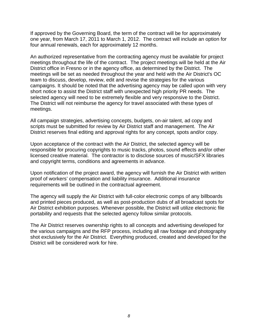If approved by the Governing Board, the term of the contract will be for approximately one year, from March 17, 2011 to March 1, 2012. The contract will include an option for four annual renewals, each for approximately 12 months.

An authorized representative from the contracting agency must be available for project meetings throughout the life of the contract. The project meetings will be held at the Air District office in Fresno or in the agency office, as determined by the District. The meetings will be set as needed throughout the year and held with the Air District's OC team to discuss, develop, review, edit and revise the strategies for the various campaigns. It should be noted that the advertising agency may be called upon with very short notice to assist the District staff with unexpected high priority PR needs. The selected agency will need to be extremely flexible and very responsive to the District. The District will not reimburse the agency for travel associated with these types of meetings.

All campaign strategies, advertising concepts, budgets, on-air talent, ad copy and scripts must be submitted for review by Air District staff and management. The Air District reserves final editing and approval rights for any concept, spots and/or copy.

Upon acceptance of the contract with the Air District, the selected agency will be responsible for procuring copyrights to music tracks, photos, sound effects and/or other licensed creative material. The contractor is to disclose sources of music/SFX libraries and copyright terms, conditions and agreements in advance.

Upon notification of the project award, the agency will furnish the Air District with written proof of workers' compensation and liability insurance. Additional insurance requirements will be outlined in the contractual agreement.

The agency will supply the Air District with full-color electronic comps of any billboards and printed pieces produced, as well as post-production dubs of all broadcast spots for Air District exhibition purposes. Whenever possible, the District will utilize electronic file portability and requests that the selected agency follow similar protocols.

The Air District reserves ownership rights to all concepts and advertising developed for the various campaigns and the RFP process, including all raw footage and photography shot exclusively for the Air District. Everything produced, created and developed for the District will be considered work for hire.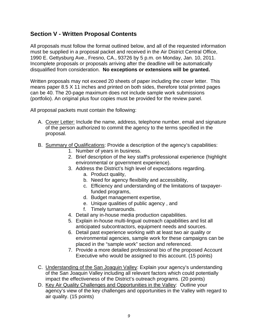# **Section V - Written Proposal Contents**

All proposals must follow the format outlined below, and all of the requested information must be supplied in a proposal packet and received in the Air District Central Office, 1990 E. Gettysburg Ave., Fresno, CA., 93726 by 5 p.m. on Monday, Jan. 10, 2011. Incomplete proposals or proposals arriving after the deadline will be automatically disqualified from consideration. **No exceptions or extensions will be granted.** 

Written proposals may not exceed 20 sheets of paper including the cover letter. This means paper 8.5 X 11 inches and printed on both sides, therefore total printed pages can be 40. The 20-page maximum does not include sample work submissions (portfolio). An original plus four copies must be provided for the review panel.

All proposal packets must contain the following:

- A. Cover Letter: Include the name, address, telephone number, email and signature of the person authorized to commit the agency to the terms specified in the proposal.
- B. Summary of Qualifications: Provide a description of the agency's capabilities:
	- 1. Number of years in business.
	- 2. Brief description of the key staff's professional experience (highlight environmental or government experience).
	- 3. Address the District's high level of expectations regarding.
		- a. Product quality,
		- b. Need for agency flexibility and accessibility,
		- c. Efficiency and understanding of the limitations of taxpayerfunded programs,
		- d. Budget management expertise,
		- e. Unique qualities of public agency , and
		- f. Timely turnarounds.
	- 4. Detail any in-house media production capabilities.
	- 5. Explain in-house multi-lingual outreach capabilities and list all anticipated subcontractors, equipment needs and sources.
	- 6. Detail past experience working with at least two air quality or environmental agencies, sample work for these campaigns can be placed in the "sample work" section and referenced.
	- 7. Provide a more detailed professional bio of the proposed Account Executive who would be assigned to this account. (15 points)
- C. Understanding of the San Joaquin Valley: Explain your agency's understanding of the San Joaquin Valley including all relevant factors which could potentially impact the effectiveness of the District's outreach programs. (20 points)
- D. Key Air Quality Challenges and Opportunities in the Valley: Outline your agency's view of the key challenges and opportunities in the Valley with regard to air quality. (15 points)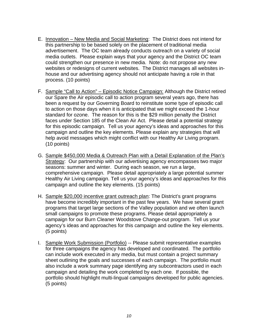- E. Innovation New Media and Social Marketing: The District does not intend for this partnership to be based solely on the placement of traditional media advertisement. The OC team already conducts outreach on a variety of social media outlets. Please explain ways that your agency and the District OC team could strengthen our presence in new media. Note: do not propose any new websites or redesigns of current websites. The District manages all websites inhouse and our advertising agency should not anticipate having a role in that process. (10 points)
- F. Sample "Call to Action" Episodic Notice Campaign: Although the District retired our Spare the Air episodic call to action program several years ago, there has been a request by our Governing Board to reinstitute some type of episodic call to action on those days when it is anticipated that we might exceed the 1-hour standard for ozone. The reason for this is the \$29 million penalty the District faces under Section 185 of the Clean Air Act. Please detail a potential strategy for this episodic campaign. Tell us your agency's ideas and approaches for this campaign and outline the key elements. Please explain any strategies that will help avoid messages which might conflict with our Healthy Air Living program. (10 points)
- G. Sample \$450,000 Media & Outreach Plan with a Detail Explanation of the Plan's Strategy: Our partnership with our advertising agency encompasses two major seasons: summer and winter. During each season, we run a large, comprehensive campaign. Please detail appropriately a large potential summer Healthy Air Living campaign. Tell us your agency's ideas and approaches for this campaign and outline the key elements. (15 points)
- H. Sample \$20,000 incentive grant outreach plan: The District's grant programs have become incredibly important in the past few years. We have several grant programs that target large sections of the Valley population and we often launch small campaigns to promote these programs. Please detail appropriately a campaign for our Burn Cleaner Woodstove Change-out program. Tell us your agency's ideas and approaches for this campaign and outline the key elements. (5 points)
- I. Sample Work Submission (Portfolio) -- Please submit representative examples for three campaigns the agency has developed and coordinated. The portfolio can include work executed in any media, but must contain a project summary sheet outlining the goals and successes of each campaign. The portfolio must also include a work summary page identifying any subcontractors used in each campaign and detailing the work completed by each one. If possible, the portfolio should highlight multi-lingual campaigns developed for public agencies. (5 points)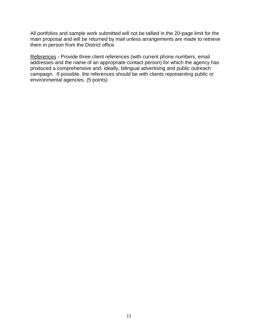All portfolios and sample work submitted will not be tallied in the 20-page limit for the main proposal and will be returned by mail unless arrangements are made to retrieve them in person from the District office.

References - Provide three client references (with current phone numbers, email addresses and the name of an appropriate contact person) for which the agency has produced a comprehensive and, ideally, bilingual advertising and public outreach campaign. If possible, the references should be with clients representing public or environmental agencies. (5 points)